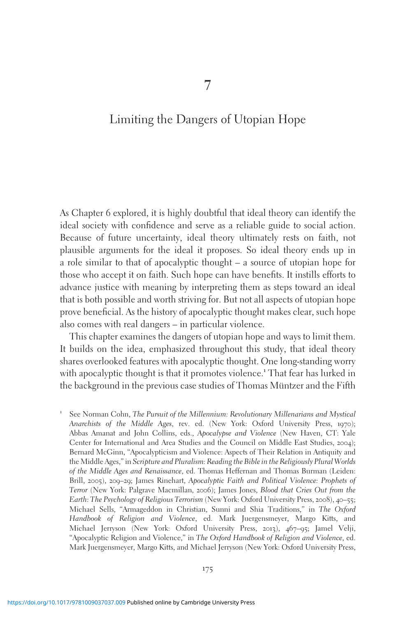# Limiting the Dangers of Utopian Hope

As Chapter 6 explored, it is highly doubtful that ideal theory can identify the ideal society with confidence and serve as a reliable guide to social action. Because of future uncertainty, ideal theory ultimately rests on faith, not plausible arguments for the ideal it proposes. So ideal theory ends up in a role similar to that of apocalyptic thought – a source of utopian hope for those who accept it on faith. Such hope can have benefits. It instills efforts to advance justice with meaning by interpreting them as steps toward an ideal that is both possible and worth striving for. But not all aspects of utopian hope prove beneficial. As the history of apocalyptic thought makes clear, such hope also comes with real dangers – in particular violence.

This chapter examines the dangers of utopian hope and ways to limit them. It builds on the idea, emphasized throughout this study, that ideal theory shares overlooked features with apocalyptic thought. One long-standing worry with apocalyptic thought is that it promotes violence.<sup>1</sup> That fear has lurked in the background in the previous case studies of Thomas Müntzer and the Fifth

<sup>1</sup> See Norman Cohn, The Pursuit of the Millennium: Revolutionary Millenarians and Mystical Anarchists of the Middle Ages, rev. ed. (New York: Oxford University Press, 1970); Abbas Amanat and John Collins, eds., Apocalypse and Violence (New Haven, CT: Yale Center for International and Area Studies and the Council on Middle East Studies, 2004); Bernard McGinn, "Apocalypticism and Violence: Aspects of Their Relation in Antiquity and the Middle Ages," in Scripture and Pluralism: Reading the Bible in the Religiously Plural Worlds of the Middle Ages and Renaissance, ed. Thomas Heffernan and Thomas Burman (Leiden: Brill, 2005), 209–29; James Rinehart, Apocalyptic Faith and Political Violence: Prophets of Terror (New York: Palgrave Macmillan, 2006); James Jones, Blood that Cries Out from the Earth: The Psychology of Religious Terrorism (New York: Oxford University Press, 2008), 40–55; Michael Sells, "Armageddon in Christian, Sunni and Shia Traditions," in The Oxford Handbook of Religion and Violence, ed. Mark Juergensmeyer, Margo Kitts, and Michael Jerryson (New York: Oxford University Press, 2013), 467–95; Jamel Velji, "Apocalyptic Religion and Violence," in The Oxford Handbook of Religion and Violence, ed. Mark Juergensmeyer, Margo Kitts, and Michael Jerryson (New York: Oxford University Press,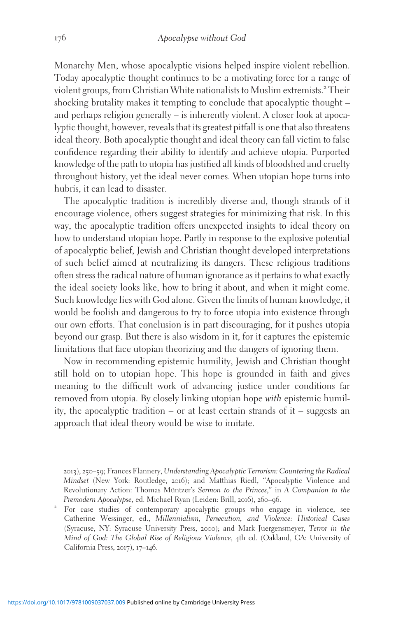Monarchy Men, whose apocalyptic visions helped inspire violent rebellion. Today apocalyptic thought continues to be a motivating force for a range of violent groups, from Christian White nationalists to Muslim extremists.<sup>2</sup> Their shocking brutality makes it tempting to conclude that apocalyptic thought – and perhaps religion generally – is inherently violent. A closer look at apocalyptic thought, however, reveals that its greatest pitfall is one that also threatens ideal theory. Both apocalyptic thought and ideal theory can fall victim to false confidence regarding their ability to identify and achieve utopia. Purported knowledge of the path to utopia has justified all kinds of bloodshed and cruelty throughout history, yet the ideal never comes. When utopian hope turns into hubris, it can lead to disaster.

The apocalyptic tradition is incredibly diverse and, though strands of it encourage violence, others suggest strategies for minimizing that risk. In this way, the apocalyptic tradition offers unexpected insights to ideal theory on how to understand utopian hope. Partly in response to the explosive potential of apocalyptic belief, Jewish and Christian thought developed interpretations of such belief aimed at neutralizing its dangers. These religious traditions often stress the radical nature of human ignorance as it pertains to what exactly the ideal society looks like, how to bring it about, and when it might come. Such knowledge lies with God alone. Given the limits of human knowledge, it would be foolish and dangerous to try to force utopia into existence through our own efforts. That conclusion is in part discouraging, for it pushes utopia beyond our grasp. But there is also wisdom in it, for it captures the epistemic limitations that face utopian theorizing and the dangers of ignoring them.

Now in recommending epistemic humility, Jewish and Christian thought still hold on to utopian hope. This hope is grounded in faith and gives meaning to the difficult work of advancing justice under conditions far removed from utopia. By closely linking utopian hope with epistemic humility, the apocalyptic tradition – or at least certain strands of it – suggests an approach that ideal theory would be wise to imitate.

<sup>2013</sup>), 250–59; Frances Flannery, Understanding Apocalyptic Terrorism: Countering the Radical Mindset (New York: Routledge, 2016); and Matthias Riedl, "Apocalyptic Violence and Revolutionary Action: Thomas Müntzer's Sermon to the Princes," in A Companion to the Premodern Apocalypse, ed. Michael Ryan (Leiden: Brill, 2016), 260–96.

<sup>&</sup>lt;sup>2</sup> For case studies of contemporary apocalyptic groups who engage in violence, see Catherine Wessinger, ed., Millennialism, Persecution, and Violence: Historical Cases (Syracuse, NY: Syracuse University Press, 2000); and Mark Juergensmeyer, Terror in the Mind of God: The Global Rise of Religious Violence, 4th ed. (Oakland, CA: University of California Press, 2017), 17–146.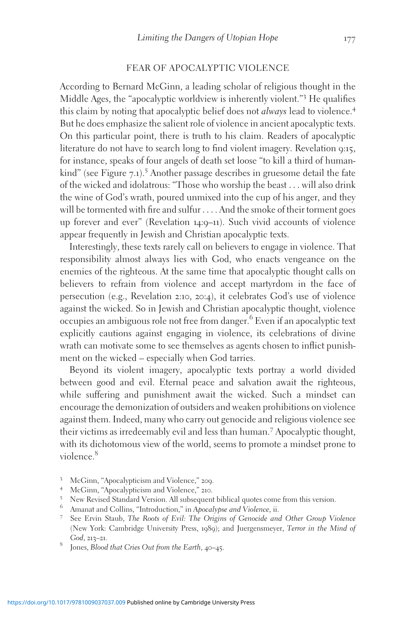#### FEAR OF APOCALYPTIC VIOLENCE

According to Bernard McGinn, a leading scholar of religious thought in the Middle Ages, the "apocalyptic worldview is inherently violent."<sup>3</sup> He qualifies this claim by noting that apocalyptic belief does not *always* lead to violence.<sup>4</sup> But he does emphasize the salient role of violence in ancient apocalyptic texts. On this particular point, there is truth to his claim. Readers of apocalyptic literature do not have to search long to find violent imagery. Revelation 9:15, for instance, speaks of four angels of death set loose "to kill a third of humankind" (see Figure 7.1).<sup>5</sup> Another passage describes in gruesome detail the fate of the wicked and idolatrous: "Those who worship the beast ... will also drink the wine of God's wrath, poured unmixed into the cup of his anger, and they will be tormented with fire and sulfur ... . And the smoke of their torment goes up forever and ever" (Revelation 14:9–11). Such vivid accounts of violence appear frequently in Jewish and Christian apocalyptic texts.

Interestingly, these texts rarely call on believers to engage in violence. That responsibility almost always lies with God, who enacts vengeance on the enemies of the righteous. At the same time that apocalyptic thought calls on believers to refrain from violence and accept martyrdom in the face of persecution (e.g., Revelation 2:10, 20:4), it celebrates God's use of violence against the wicked. So in Jewish and Christian apocalyptic thought, violence occupies an ambiguous role not free from danger.<sup>6</sup> Even if an apocalyptic text explicitly cautions against engaging in violence, its celebrations of divine wrath can motivate some to see themselves as agents chosen to inflict punishment on the wicked – especially when God tarries.

Beyond its violent imagery, apocalyptic texts portray a world divided between good and evil. Eternal peace and salvation await the righteous, while suffering and punishment await the wicked. Such a mindset can encourage the demonization of outsiders and weaken prohibitions on violence against them. Indeed, many who carry out genocide and religious violence see their victims as irredeemably evil and less than human.<sup>7</sup> Apocalyptic thought, with its dichotomous view of the world, seems to promote a mindset prone to violence.<sup>8</sup>

- 
- 
- <sup>3</sup> McGinn, "Apocalypticism and Violence," 209.<br>
<sup>4</sup> McGinn, "Apocalypticism and Violence," 210.<br>
<sup>5</sup> New Revised Standard Version. All subsequent biblical quotes come from this version.<br>
<sup>6</sup> Amanat and Collins, "Introduct
- 
- (New York: Cambridge University Press, 1989); and Juergensmeyer, Terror in the Mind of God, 213–21. 8 Jones, Blood that Cries Out from the Earth, 40–45.
-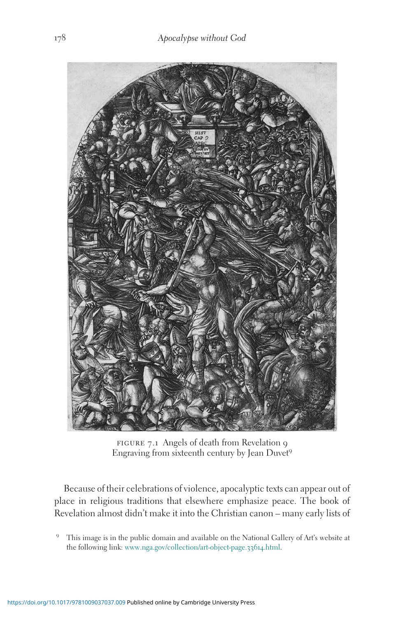

figure 7.1 Angels of death from Revelation 9 Engraving from sixteenth century by Jean Duvet<sup>9</sup>

Because of their celebrations of violence, apocalyptic texts can appear out of place in religious traditions that elsewhere emphasize peace. The book of Revelation almost didn't make it into the Christian canon – many early lists of

<sup>9</sup> This image is in the public domain and available on the National Gallery of Art's website at the following link: [www.nga.gov/collection/art-object-page.](http://www.nga.gov/collection/art-object-page.33614.html)33614.html.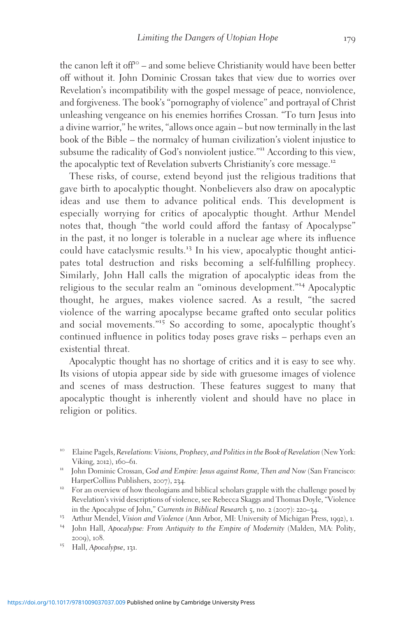the canon left it of  $f^{\circ}$  – and some believe Christianity would have been better off without it. John Dominic Crossan takes that view due to worries over Revelation's incompatibility with the gospel message of peace, nonviolence, and forgiveness. The book's "pornography of violence" and portrayal of Christ unleashing vengeance on his enemies horrifies Crossan. "To turn Jesus into a divine warrior," he writes, "allows once again – but now terminally in the last book of the Bible – the normalcy of human civilization's violent injustice to subsume the radicality of God's nonviolent justice."<sup>11</sup> According to this view, the apocalyptic text of Revelation subverts Christianity's core message.<sup>12</sup>

These risks, of course, extend beyond just the religious traditions that gave birth to apocalyptic thought. Nonbelievers also draw on apocalyptic ideas and use them to advance political ends. This development is especially worrying for critics of apocalyptic thought. Arthur Mendel notes that, though "the world could afford the fantasy of Apocalypse" in the past, it no longer is tolerable in a nuclear age where its influence could have cataclysmic results.<sup>13</sup> In his view, apocalyptic thought anticipates total destruction and risks becoming a self-fulfilling prophecy. Similarly, John Hall calls the migration of apocalyptic ideas from the religious to the secular realm an "ominous development."<sup>14</sup> Apocalyptic thought, he argues, makes violence sacred. As a result, "the sacred violence of the warring apocalypse became grafted onto secular politics and social movements."<sup>15</sup> So according to some, apocalyptic thought's continued influence in politics today poses grave risks – perhaps even an existential threat.

Apocalyptic thought has no shortage of critics and it is easy to see why. Its visions of utopia appear side by side with gruesome images of violence and scenes of mass destruction. These features suggest to many that apocalyptic thought is inherently violent and should have no place in religion or politics.

<sup>&</sup>lt;sup>10</sup> Elaine Pagels, Revelations: Visions, Prophecy, and Politics in the Book of Revelation (New York:

Viking, 2012), 160–61.<br>
<sup>11</sup> John Dominic Crossan, God and Empire: Jesus against Rome, Then and Now (San Francisco:<br>
HarperCollins Publishers, 2007), 234.

<sup>&</sup>lt;sup>12</sup> For an overview of how theologians and biblical scholars grapple with the challenge posed by Revelation's vivid descriptions of violence, see Rebecca Skaggs and Thomas Doyle, "Violence in the Apocalypse of John," Currents in Biblical Research 5, no. 2 (2007): 220–34.<br><sup>13</sup> Arthur Mendel, *Vision and Violence* (Ann Arbor, MI: University of Michigan Press, 1992), 1.<br><sup>14</sup> John Hall, *Apocalypse: From Antiqu* 

<sup>2009), 108.&</sup>lt;br><sup>15</sup> Hall, Apocalypse, 131.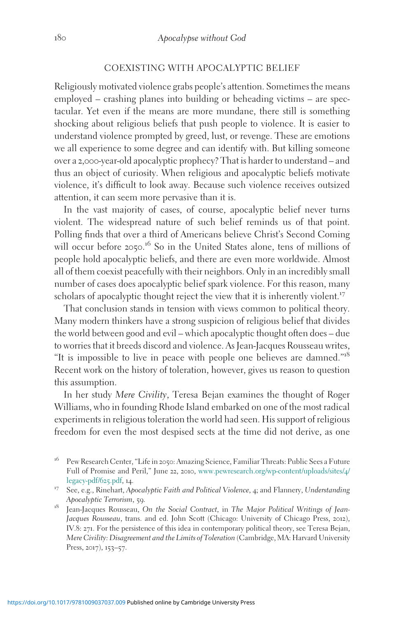## COEXISTING WITH APOCALYPTIC BELIEF

Religiously motivated violence grabs people's attention. Sometimes the means employed – crashing planes into building or beheading victims – are spectacular. Yet even if the means are more mundane, there still is something shocking about religious beliefs that push people to violence. It is easier to understand violence prompted by greed, lust, or revenge. These are emotions we all experience to some degree and can identify with. But killing someone over a 2,000-year-old apocalyptic prophecy? That is harder to understand – and thus an object of curiosity. When religious and apocalyptic beliefs motivate violence, it's difficult to look away. Because such violence receives outsized attention, it can seem more pervasive than it is.

In the vast majority of cases, of course, apocalyptic belief never turns violent. The widespread nature of such belief reminds us of that point. Polling finds that over a third of Americans believe Christ's Second Coming will occur before 2050.<sup>16</sup> So in the United States alone, tens of millions of people hold apocalyptic beliefs, and there are even more worldwide. Almost all of them coexist peacefully with their neighbors. Only in an incredibly small number of cases does apocalyptic belief spark violence. For this reason, many scholars of apocalyptic thought reject the view that it is inherently violent.<sup>17</sup>

That conclusion stands in tension with views common to political theory. Many modern thinkers have a strong suspicion of religious belief that divides the world between good and evil – which apocalyptic thought often does – due to worries that it breeds discord and violence. As Jean-Jacques Rousseau writes, "It is impossible to live in peace with people one believes are damned."<sup>18</sup> Recent work on the history of toleration, however, gives us reason to question this assumption.

In her study Mere Civility, Teresa Bejan examines the thought of Roger Williams, who in founding Rhode Island embarked on one of the most radical experiments in religious toleration the world had seen. His support of religious freedom for even the most despised sects at the time did not derive, as one

<sup>16</sup> Pew Research Center, "Life in <sup>2050</sup>: Amazing Science, Familiar Threats: Public Sees a Future Full of Promise and Peril," June 22, 2010, [www.pewresearch.org/wp-content/uploads/sites/](http://www.pewresearch.org/wp-content/uploads/sites/4/legacy-pdf/625.pdf)4/

<sup>&</sup>lt;sup>17</sup> See, e.g., Rinehart, Apocalyptic Faith and Political Violence, 4; and Flannery, Understanding

Apocalyptic Terrorism, 59. 18 Jean-Jacques Rousseau, On the Social Contract, in The Major Political Writings of Jean-Jacques Rousseau, trans. and ed. John Scott (Chicago: University of Chicago Press, 2012), IV.8: 271. For the persistence of this idea in contemporary political theory, see Teresa Bejan, Mere Civility: Disagreement and the Limits of Toleration (Cambridge, MA: Harvard University Press, 2017), 153–57.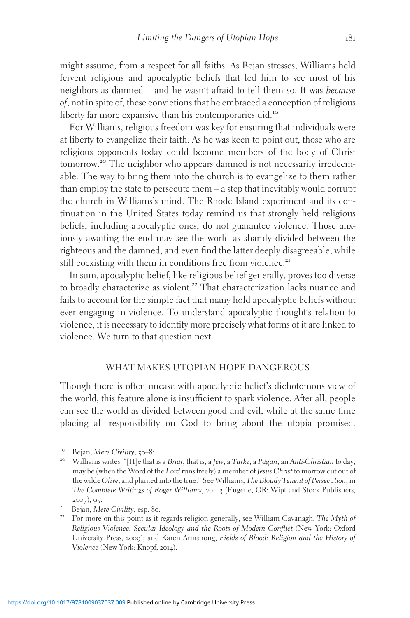might assume, from a respect for all faiths. As Bejan stresses, Williams held fervent religious and apocalyptic beliefs that led him to see most of his neighbors as damned – and he wasn't afraid to tell them so. It was because of, not in spite of, these convictions that he embraced a conception of religious liberty far more expansive than his contemporaries did.<sup>19</sup>

For Williams, religious freedom was key for ensuring that individuals were at liberty to evangelize their faith. As he was keen to point out, those who are religious opponents today could become members of the body of Christ tomorrow.<sup>20</sup> The neighbor who appears damned is not necessarily irredeemable. The way to bring them into the church is to evangelize to them rather than employ the state to persecute them – a step that inevitably would corrupt the church in Williams's mind. The Rhode Island experiment and its continuation in the United States today remind us that strongly held religious beliefs, including apocalyptic ones, do not guarantee violence. Those anxiously awaiting the end may see the world as sharply divided between the righteous and the damned, and even find the latter deeply disagreeable, while still coexisting with them in conditions free from violence.<sup>21</sup>

In sum, apocalyptic belief, like religious belief generally, proves too diverse to broadly characterize as violent.<sup>22</sup> That characterization lacks nuance and fails to account for the simple fact that many hold apocalyptic beliefs without ever engaging in violence. To understand apocalyptic thought's relation to violence, it is necessary to identify more precisely what forms of it are linked to violence. We turn to that question next.

#### WHAT MAKES UTOPIAN HOPE DANGEROUS

Though there is often unease with apocalyptic belief's dichotomous view of the world, this feature alone is insufficient to spark violence. After all, people can see the world as divided between good and evil, while at the same time placing all responsibility on God to bring about the utopia promised.

- 
- Religious Violence: Secular Ideology and the Roots of Modern Conflict (New York: Oxford University Press, 2009); and Karen Armstrong, Fields of Blood: Religion and the History of Violence (New York: Knopf, 2014).

<sup>&</sup>lt;sup>19</sup> Bejan, Mere Civility, 50–81.<br><sup>20</sup> Williams writes: "[H]e that is a Briar, that is, a Jew, a Turke, a Pagan, an Anti-Christian to day, may be (when the Word of the Lord runs freely) a member of Jesus Christ to morrow cut out of the wilde Olive, and planted into the true." See Williams, The Bloudy Tenent of Persecution, in The Complete Writings of Roger Williams, vol. 3 (Eugene, OR: Wipf and Stock Publishers, 2007), 95.<br><sup>21</sup> Bejan, *Mere Civility*, esp. 80.<br><sup>22</sup> For more on this point as it regards religion generally, see William Cavanagh, *The Myth of*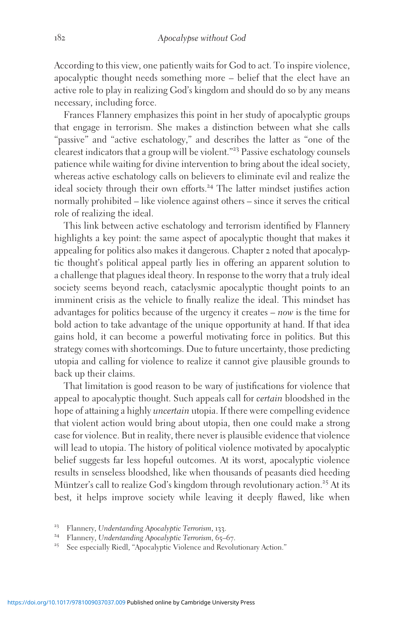According to this view, one patiently waits for God to act. To inspire violence, apocalyptic thought needs something more – belief that the elect have an active role to play in realizing God's kingdom and should do so by any means necessary, including force.

Frances Flannery emphasizes this point in her study of apocalyptic groups that engage in terrorism. She makes a distinction between what she calls "passive" and "active eschatology," and describes the latter as "one of the clearest indicators that a group will be violent."<sup>23</sup> Passive eschatology counsels patience while waiting for divine intervention to bring about the ideal society, whereas active eschatology calls on believers to eliminate evil and realize the ideal society through their own efforts.<sup>24</sup> The latter mindset justifies action normally prohibited – like violence against others – since it serves the critical role of realizing the ideal.

This link between active eschatology and terrorism identified by Flannery highlights a key point: the same aspect of apocalyptic thought that makes it appealing for politics also makes it dangerous. Chapter 2 noted that apocalyptic thought's political appeal partly lies in offering an apparent solution to a challenge that plagues ideal theory. In response to the worry that a truly ideal society seems beyond reach, cataclysmic apocalyptic thought points to an imminent crisis as the vehicle to finally realize the ideal. This mindset has advantages for politics because of the urgency it creates – now is the time for bold action to take advantage of the unique opportunity at hand. If that idea gains hold, it can become a powerful motivating force in politics. But this strategy comes with shortcomings. Due to future uncertainty, those predicting utopia and calling for violence to realize it cannot give plausible grounds to back up their claims.

That limitation is good reason to be wary of justifications for violence that appeal to apocalyptic thought. Such appeals call for certain bloodshed in the hope of attaining a highly *uncertain* utopia. If there were compelling evidence that violent action would bring about utopia, then one could make a strong case for violence. But in reality, there never is plausible evidence that violence will lead to utopia. The history of political violence motivated by apocalyptic belief suggests far less hopeful outcomes. At its worst, apocalyptic violence results in senseless bloodshed, like when thousands of peasants died heeding Müntzer's call to realize God's kingdom through revolutionary action.<sup>25</sup> At its best, it helps improve society while leaving it deeply flawed, like when

- 
- <sup>23</sup> Flannery, Understanding Apocalyptic Terrorism, 133.<br><sup>24</sup> Flannery, Understanding Apocalyptic Terrorism, 65–67.<br><sup>25</sup> See especially Riedl, "Apocalyptic Violence and Revolutionary Action."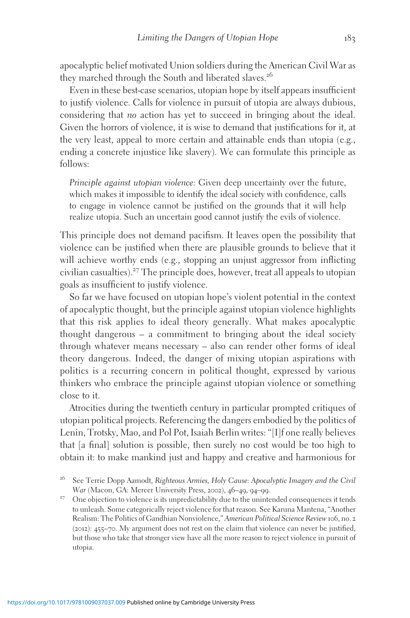apocalyptic belief motivated Union soldiers during the American Civil War as they marched through the South and liberated slaves.<sup>26</sup>

Even in these best-case scenarios, utopian hope by itself appears insufficient to justify violence. Calls for violence in pursuit of utopia are always dubious, considering that no action has yet to succeed in bringing about the ideal. Given the horrors of violence, it is wise to demand that justifications for it, at the very least, appeal to more certain and attainable ends than utopia (e.g., ending a concrete injustice like slavery). We can formulate this principle as follows:

Principle against utopian violence: Given deep uncertainty over the future, which makes it impossible to identify the ideal society with confidence, calls to engage in violence cannot be justified on the grounds that it will help realize utopia. Such an uncertain good cannot justify the evils of violence.

This principle does not demand pacifism. It leaves open the possibility that violence can be justified when there are plausible grounds to believe that it will achieve worthy ends (e.g., stopping an unjust aggressor from inflicting civilian casualties).<sup>27</sup> The principle does, however, treat all appeals to utopian goals as insufficient to justify violence.

So far we have focused on utopian hope's violent potential in the context of apocalyptic thought, but the principle against utopian violence highlights that this risk applies to ideal theory generally. What makes apocalyptic thought dangerous – a commitment to bringing about the ideal society through whatever means necessary – also can render other forms of ideal theory dangerous. Indeed, the danger of mixing utopian aspirations with politics is a recurring concern in political thought, expressed by various thinkers who embrace the principle against utopian violence or something close to it.

Atrocities during the twentieth century in particular prompted critiques of utopian political projects. Referencing the dangers embodied by the politics of Lenin, Trotsky, Mao, and Pol Pot, Isaiah Berlin writes: "[I]f one really believes that [a final] solution is possible, then surely no cost would be too high to obtain it: to make mankind just and happy and creative and harmonious for

<sup>&</sup>lt;sup>26</sup> See Terrie Dopp Aamodt, Righteous Armies, Holy Cause: Apocalyptic Imagery and the Civil War (Macon, GA: Mercer University Press, 2002), 46–49, 94–99.

 $^{27}$  One objection to violence is its unpredictability due to the unintended consequences it tends to unleash. Some categorically reject violence for that reason. See Karuna Mantena, "Another Realism: The Politics of Gandhian Nonviolence," American Political Science Review 106, no. 2 (2012): 455–70. My argument does not rest on the claim that violence can never be justified, but those who take that stronger view have all the more reason to reject violence in pursuit of utopia.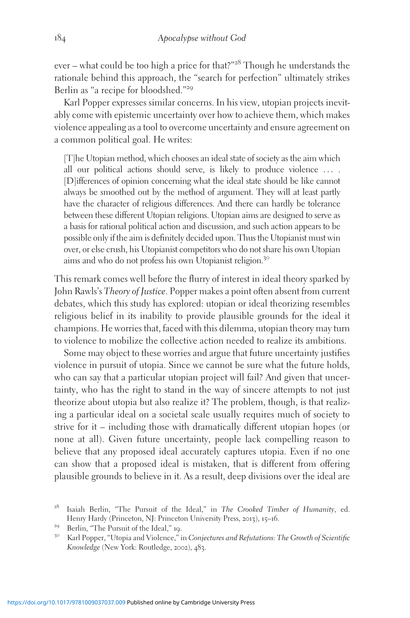ever – what could be too high a price for that?"<sup>28</sup> Though he understands the rationale behind this approach, the "search for perfection" ultimately strikes Berlin as "a recipe for bloodshed."<sup>29</sup>

Karl Popper expresses similar concerns. In his view, utopian projects inevitably come with epistemic uncertainty over how to achieve them, which makes violence appealing as a tool to overcome uncertainty and ensure agreement on a common political goal. He writes:

[T]he Utopian method, which chooses an ideal state of society as the aim which all our political actions should serve, is likely to produce violence ... . [D]ifferences of opinion concerning what the ideal state should be like cannot always be smoothed out by the method of argument. They will at least partly have the character of religious differences. And there can hardly be tolerance between these different Utopian religions. Utopian aims are designed to serve as a basis for rational political action and discussion, and such action appears to be possible only if the aim is definitely decided upon. Thus the Utopianist must win over, or else crush, his Utopianist competitors who do not share his own Utopian aims and who do not profess his own Utopianist religion.<sup>30</sup>

This remark comes well before the flurry of interest in ideal theory sparked by John Rawls's Theory of Justice. Popper makes a point often absent from current debates, which this study has explored: utopian or ideal theorizing resembles religious belief in its inability to provide plausible grounds for the ideal it champions. He worries that, faced with this dilemma, utopian theory may turn to violence to mobilize the collective action needed to realize its ambitions.

Some may object to these worries and argue that future uncertainty justifies violence in pursuit of utopia. Since we cannot be sure what the future holds, who can say that a particular utopian project will fail? And given that uncertainty, who has the right to stand in the way of sincere attempts to not just theorize about utopia but also realize it? The problem, though, is that realizing a particular ideal on a societal scale usually requires much of society to strive for it – including those with dramatically different utopian hopes (or none at all). Given future uncertainty, people lack compelling reason to believe that any proposed ideal accurately captures utopia. Even if no one can show that a proposed ideal is mistaken, that is different from offering plausible grounds to believe in it. As a result, deep divisions over the ideal are

<sup>&</sup>lt;sup>28</sup> Isaiah Berlin, "The Pursuit of the Ideal," in *The Crooked Timber of Humanity*, ed.<br>Henry Hardy (Princeton, NJ: Princeton University Press, 2013), 15–16.

<sup>&</sup>lt;sup>29</sup> Berlin, "The Pursuit of the Ideal," 19.<br><sup>30</sup> Karl Popper, "Utopia and Violence," in Conjectures and Refutations: The Growth of Scientific Knowledge (New York: Routledge, 2002), 483.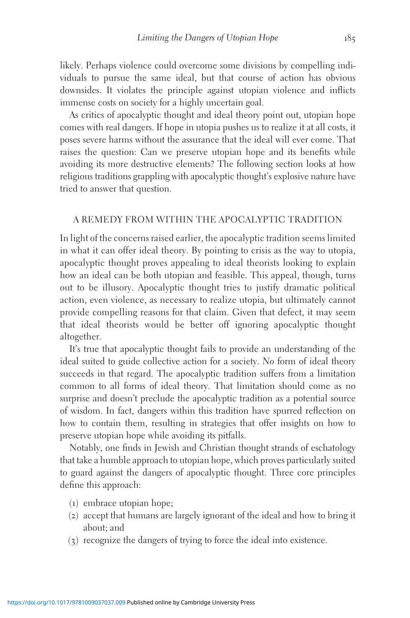likely. Perhaps violence could overcome some divisions by compelling individuals to pursue the same ideal, but that course of action has obvious downsides. It violates the principle against utopian violence and inflicts immense costs on society for a highly uncertain goal.

As critics of apocalyptic thought and ideal theory point out, utopian hope comes with real dangers. If hope in utopia pushes us to realize it at all costs, it poses severe harms without the assurance that the ideal will ever come. That raises the question: Can we preserve utopian hope and its benefits while avoiding its more destructive elements? The following section looks at how religious traditions grappling with apocalyptic thought's explosive nature have tried to answer that question.

## A REMEDY FROM WITHIN THE APOCALYPTIC TRADITION

In light of the concerns raised earlier, the apocalyptic tradition seems limited in what it can offer ideal theory. By pointing to crisis as the way to utopia, apocalyptic thought proves appealing to ideal theorists looking to explain how an ideal can be both utopian and feasible. This appeal, though, turns out to be illusory. Apocalyptic thought tries to justify dramatic political action, even violence, as necessary to realize utopia, but ultimately cannot provide compelling reasons for that claim. Given that defect, it may seem that ideal theorists would be better off ignoring apocalyptic thought altogether.

It's true that apocalyptic thought fails to provide an understanding of the ideal suited to guide collective action for a society. No form of ideal theory succeeds in that regard. The apocalyptic tradition suffers from a limitation common to all forms of ideal theory. That limitation should come as no surprise and doesn't preclude the apocalyptic tradition as a potential source of wisdom. In fact, dangers within this tradition have spurred reflection on how to contain them, resulting in strategies that offer insights on how to preserve utopian hope while avoiding its pitfalls.

Notably, one finds in Jewish and Christian thought strands of eschatology that take a humble approach to utopian hope, which proves particularly suited to guard against the dangers of apocalyptic thought. Three core principles define this approach:

- (1) embrace utopian hope;
- (2) accept that humans are largely ignorant of the ideal and how to bring it about; and
- (3) recognize the dangers of trying to force the ideal into existence.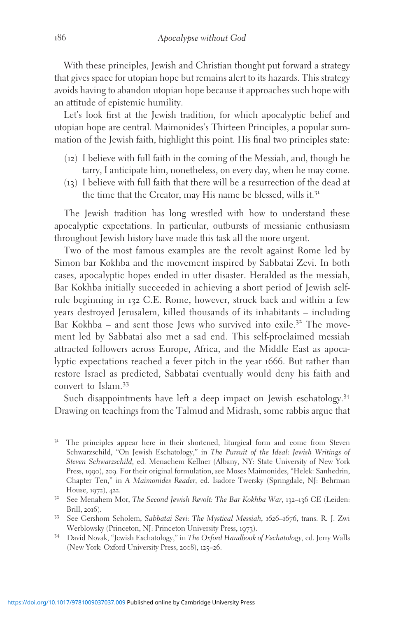With these principles, Jewish and Christian thought put forward a strategy that gives space for utopian hope but remains alert to its hazards. This strategy avoids having to abandon utopian hope because it approaches such hope with an attitude of epistemic humility.

Let's look first at the Jewish tradition, for which apocalyptic belief and utopian hope are central. Maimonides's Thirteen Principles, a popular summation of the Jewish faith, highlight this point. His final two principles state:

- (12) I believe with full faith in the coming of the Messiah, and, though he tarry, I anticipate him, nonetheless, on every day, when he may come.
- (13) I believe with full faith that there will be a resurrection of the dead at the time that the Creator, may His name be blessed, wills it.<sup>31</sup>

The Jewish tradition has long wrestled with how to understand these apocalyptic expectations. In particular, outbursts of messianic enthusiasm throughout Jewish history have made this task all the more urgent.

Two of the most famous examples are the revolt against Rome led by Simon bar Kokhba and the movement inspired by Sabbatai Zevi. In both cases, apocalyptic hopes ended in utter disaster. Heralded as the messiah, Bar Kokhba initially succeeded in achieving a short period of Jewish selfrule beginning in 132 C.E. Rome, however, struck back and within a few years destroyed Jerusalem, killed thousands of its inhabitants – including Bar Kokhba – and sent those Jews who survived into exile.<sup>32</sup> The movement led by Sabbatai also met a sad end. This self-proclaimed messiah attracted followers across Europe, Africa, and the Middle East as apocalyptic expectations reached a fever pitch in the year 1666. But rather than restore Israel as predicted, Sabbatai eventually would deny his faith and convert to Islam.<sup>33</sup>

Such disappointments have left a deep impact on Jewish eschatology.<sup>34</sup> Drawing on teachings from the Talmud and Midrash, some rabbis argue that

<sup>&</sup>lt;sup>31</sup> The principles appear here in their shortened, liturgical form and come from Steven Schwarzschild, "On Jewish Eschatology," in The Pursuit of the Ideal: Jewish Writings of Steven Schwarzschild, ed. Menachem Kellner (Albany, NY: State University of New York Press, 1990), 209. For their original formulation, see Moses Maimonides, "Helek: Sanhedrin, Chapter Ten," in A Maimonides Reader, ed. Isadore Twersky (Springdale, NJ: Behrman House, 1972), 422.<br><sup>32</sup> See Menahem Mor, *The Second Jewish Revolt: The Bar Kokhba War*, 132–136 CE (Leiden:

Brill, <sup>2016</sup>). <sup>33</sup> See Gershom Scholem, Sabbatai Sevi: The Mystical Messiah, <sup>1626</sup>–1676, trans. R. J. Zwi

Werblowsky (Princeton, NJ: Princeton University Press, 1973).<br><sup>34</sup> David Novak, "Jewish Eschatology," in The Oxford Handbook of Eschatology, ed. Jerry Walls

<sup>(</sup>New York: Oxford University Press, 2008), 125–26.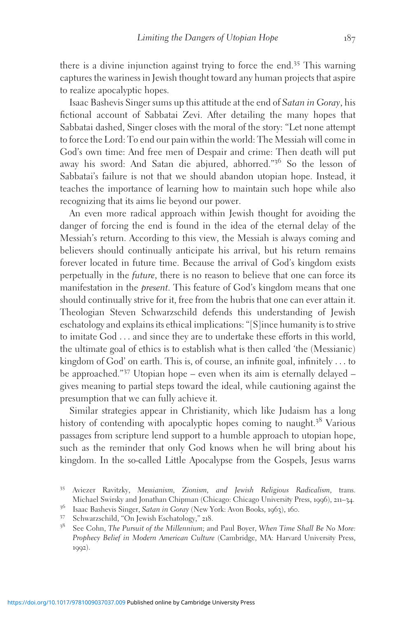there is a divine injunction against trying to force the end.<sup>35</sup> This warning captures the wariness in Jewish thought toward any human projects that aspire to realize apocalyptic hopes.

Isaac Bashevis Singer sums up this attitude at the end of Satan in Goray, his fictional account of Sabbatai Zevi. After detailing the many hopes that Sabbatai dashed, Singer closes with the moral of the story: "Let none attempt to force the Lord: To end our pain within the world: The Messiah will come in God's own time: And free men of Despair and crime: Then death will put away his sword: And Satan die abjured, abhorred."<sup>36</sup> So the lesson of Sabbatai's failure is not that we should abandon utopian hope. Instead, it teaches the importance of learning how to maintain such hope while also recognizing that its aims lie beyond our power.

An even more radical approach within Jewish thought for avoiding the danger of forcing the end is found in the idea of the eternal delay of the Messiah's return. According to this view, the Messiah is always coming and believers should continually anticipate his arrival, but his return remains forever located in future time. Because the arrival of God's kingdom exists perpetually in the future, there is no reason to believe that one can force its manifestation in the present. This feature of God's kingdom means that one should continually strive for it, free from the hubris that one can ever attain it. Theologian Steven Schwarzschild defends this understanding of Jewish eschatology and explains its ethical implications: "[S]ince humanity is to strive to imitate God ... and since they are to undertake these efforts in this world, the ultimate goal of ethics is to establish what is then called 'the (Messianic) kingdom of God' on earth. This is, of course, an infinite goal, infinitely ... to be approached."<sup>37</sup> Utopian hope – even when its aim is eternally delayed – gives meaning to partial steps toward the ideal, while cautioning against the presumption that we can fully achieve it.

Similar strategies appear in Christianity, which like Judaism has a long history of contending with apocalyptic hopes coming to naught.<sup>38</sup> Various passages from scripture lend support to a humble approach to utopian hope, such as the reminder that only God knows when he will bring about his kingdom. In the so-called Little Apocalypse from the Gospels, Jesus warns

<sup>&</sup>lt;sup>35</sup> Aviezer Ravitzky, *Messianism*, *Zionism*, *and Jewish Religious Radicalism*, trans.<br>Michael Swirsky and Jonathan Chipman (Chicago: Chicago University Press, 1996), 211–34.

<sup>&</sup>lt;sup>36</sup> Isaac Bashevis Singer, *Satan in Goray* (New York: Avon Books, 1963), 160.<br><sup>37</sup> Schwarzschild, "On Jewish Eschatology," 218.<br><sup>38</sup> See Cohn, *The Pursuit of the Millennium*; and Paul Boyer, *When Time Shall Be No More* Prophecy Belief in Modern American Culture (Cambridge, MA: Harvard University Press, 1992).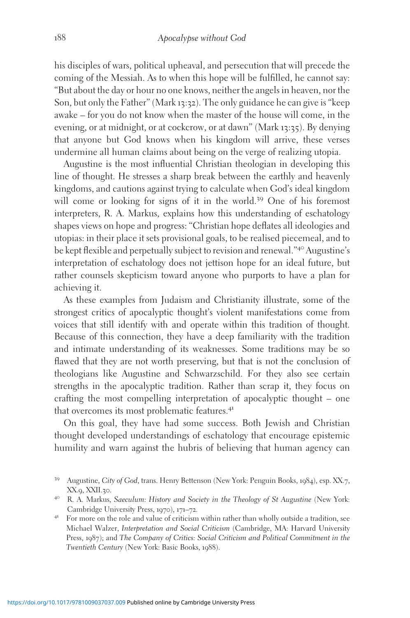his disciples of wars, political upheaval, and persecution that will precede the coming of the Messiah. As to when this hope will be fulfilled, he cannot say: "But about the day or hour no one knows, neither the angels in heaven, nor the Son, but only the Father" (Mark 13:32). The only guidance he can give is "keep awake – for you do not know when the master of the house will come, in the evening, or at midnight, or at cockcrow, or at dawn" (Mark 13:35). By denying that anyone but God knows when his kingdom will arrive, these verses undermine all human claims about being on the verge of realizing utopia.

Augustine is the most influential Christian theologian in developing this line of thought. He stresses a sharp break between the earthly and heavenly kingdoms, and cautions against trying to calculate when God's ideal kingdom will come or looking for signs of it in the world.<sup>39</sup> One of his foremost interpreters, R. A. Markus, explains how this understanding of eschatology shapes views on hope and progress: "Christian hope deflates all ideologies and utopias: in their place it sets provisional goals, to be realised piecemeal, and to be kept flexible and perpetually subject to revision and renewal."<sup>40</sup> Augustine's interpretation of eschatology does not jettison hope for an ideal future, but rather counsels skepticism toward anyone who purports to have a plan for achieving it.

As these examples from Judaism and Christianity illustrate, some of the strongest critics of apocalyptic thought's violent manifestations come from voices that still identify with and operate within this tradition of thought. Because of this connection, they have a deep familiarity with the tradition and intimate understanding of its weaknesses. Some traditions may be so flawed that they are not worth preserving, but that is not the conclusion of theologians like Augustine and Schwarzschild. For they also see certain strengths in the apocalyptic tradition. Rather than scrap it, they focus on crafting the most compelling interpretation of apocalyptic thought – one that overcomes its most problematic features.<sup>41</sup>

On this goal, they have had some success. Both Jewish and Christian thought developed understandings of eschatology that encourage epistemic humility and warn against the hubris of believing that human agency can

<sup>39</sup> Augustine, City of God, trans. Henry Bettenson (New York: Penguin Books, <sup>1984</sup>), esp. XX.7, XX.9, XXII.30.<br><sup>40</sup> R. A. Markus, Saeculum: History and Society in the Theology of St Augustine (New York:

Cambridge University Press, 1970), 171–72.<br><sup>41</sup> For more on the role and value of criticism within rather than wholly outside a tradition, see

Michael Walzer, Interpretation and Social Criticism (Cambridge, MA: Harvard University Press, 1987); and The Company of Critics: Social Criticism and Political Commitment in the Twentieth Century (New York: Basic Books, 1988).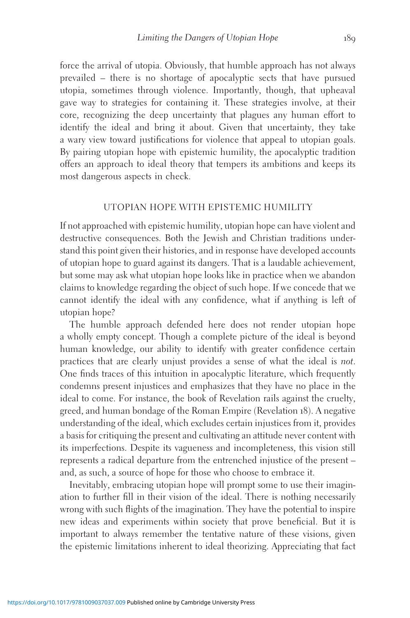force the arrival of utopia. Obviously, that humble approach has not always prevailed – there is no shortage of apocalyptic sects that have pursued utopia, sometimes through violence. Importantly, though, that upheaval gave way to strategies for containing it. These strategies involve, at their core, recognizing the deep uncertainty that plagues any human effort to identify the ideal and bring it about. Given that uncertainty, they take a wary view toward justifications for violence that appeal to utopian goals. By pairing utopian hope with epistemic humility, the apocalyptic tradition offers an approach to ideal theory that tempers its ambitions and keeps its most dangerous aspects in check.

## UTOPIAN HOPE WITH EPISTEMIC HUMILITY

If not approached with epistemic humility, utopian hope can have violent and destructive consequences. Both the Jewish and Christian traditions understand this point given their histories, and in response have developed accounts of utopian hope to guard against its dangers. That is a laudable achievement, but some may ask what utopian hope looks like in practice when we abandon claims to knowledge regarding the object of such hope. If we concede that we cannot identify the ideal with any confidence, what if anything is left of utopian hope?

The humble approach defended here does not render utopian hope a wholly empty concept. Though a complete picture of the ideal is beyond human knowledge, our ability to identify with greater confidence certain practices that are clearly unjust provides a sense of what the ideal is not. One finds traces of this intuition in apocalyptic literature, which frequently condemns present injustices and emphasizes that they have no place in the ideal to come. For instance, the book of Revelation rails against the cruelty, greed, and human bondage of the Roman Empire (Revelation 18). A negative understanding of the ideal, which excludes certain injustices from it, provides a basis for critiquing the present and cultivating an attitude never content with its imperfections. Despite its vagueness and incompleteness, this vision still represents a radical departure from the entrenched injustice of the present – and, as such, a source of hope for those who choose to embrace it.

Inevitably, embracing utopian hope will prompt some to use their imagination to further fill in their vision of the ideal. There is nothing necessarily wrong with such flights of the imagination. They have the potential to inspire new ideas and experiments within society that prove beneficial. But it is important to always remember the tentative nature of these visions, given the epistemic limitations inherent to ideal theorizing. Appreciating that fact